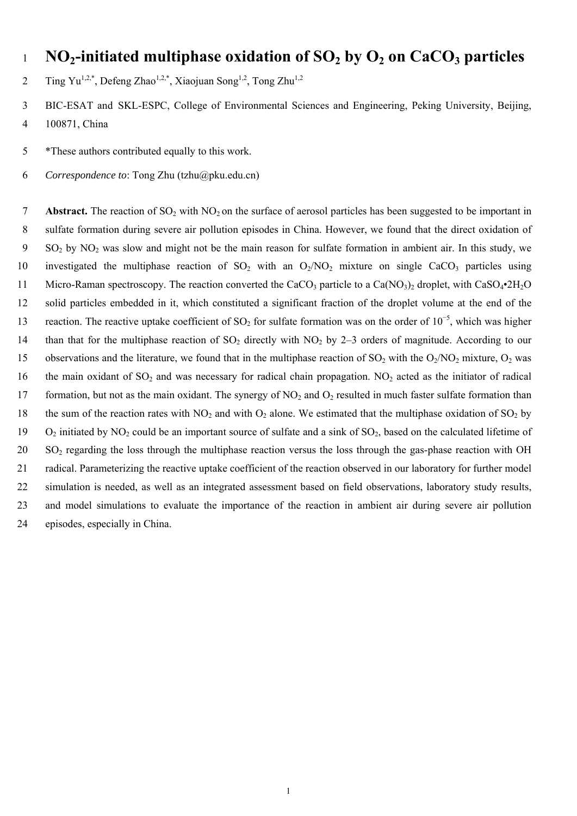# <sup>1</sup>**NO2-initiated multiphase oxidation of SO2 by O2 on CaCO3 particles**

- 2 Ting Yu<sup>1,2,\*</sup>, Defeng Zhao<sup>1,2,\*</sup>, Xiaojuan Song<sup>1,2</sup>, Tong Zhu<sup>1,2</sup>
- 3 BIC-ESAT and SKL-ESPC, College of Environmental Sciences and Engineering, Peking University, Beijing, 4 100871, China
- 5 \*These authors contributed equally to this work.
- 6 *Correspondence to*: Tong Zhu (tzhu@pku.edu.cn)

**7 Abstract.** The reaction of SO<sub>2</sub> with NO<sub>2</sub> on the surface of aerosol particles has been suggested to be important in 8 sulfate formation during severe air pollution episodes in China. However, we found that the direct oxidation of 9 SO2 by NO2 was slow and might not be the main reason for sulfate formation in ambient air. In this study, we 10 investigated the multiphase reaction of  $SO_2$  with an  $O_2/NO_2$  mixture on single CaCO<sub>3</sub> particles using 11 Micro-Raman spectroscopy. The reaction converted the CaCO<sub>3</sub> particle to a Ca(NO<sub>3</sub>)<sub>2</sub> droplet, with CaSO<sub>4</sub>•2H<sub>2</sub>O 12 solid particles embedded in it, which constituted a significant fraction of the droplet volume at the end of the reaction. The reactive uptake coefficient of SO<sub>2</sub> for sulfate formation was on the order of 10<sup>-5</sup>, which was higher 14 than that for the multiphase reaction of  $SO_2$  directly with  $NO_2$  by 2–3 orders of magnitude. According to our 15 observations and the literature, we found that in the multiphase reaction of  $SO_2$  with the  $O_2/NO_2$  mixture,  $O_2$  was 16 the main oxidant of  $SO_2$  and was necessary for radical chain propagation. NO<sub>2</sub> acted as the initiator of radical 17 formation, but not as the main oxidant. The synergy of  $NO_2$  and  $O_2$  resulted in much faster sulfate formation than 18 the sum of the reaction rates with  $NO_2$  and with  $O_2$  alone. We estimated that the multiphase oxidation of  $SO_2$  by 19 O<sub>2</sub> initiated by NO<sub>2</sub> could be an important source of sulfate and a sink of SO<sub>2</sub>, based on the calculated lifetime of  $20$  SO<sub>2</sub> regarding the loss through the multiphase reaction versus the loss through the gas-phase reaction with OH 21 radical. Parameterizing the reactive uptake coefficient of the reaction observed in our laboratory for further model 22 simulation is needed, as well as an integrated assessment based on field observations, laboratory study results, 23 and model simulations to evaluate the importance of the reaction in ambient air during severe air pollution 24 episodes, especially in China.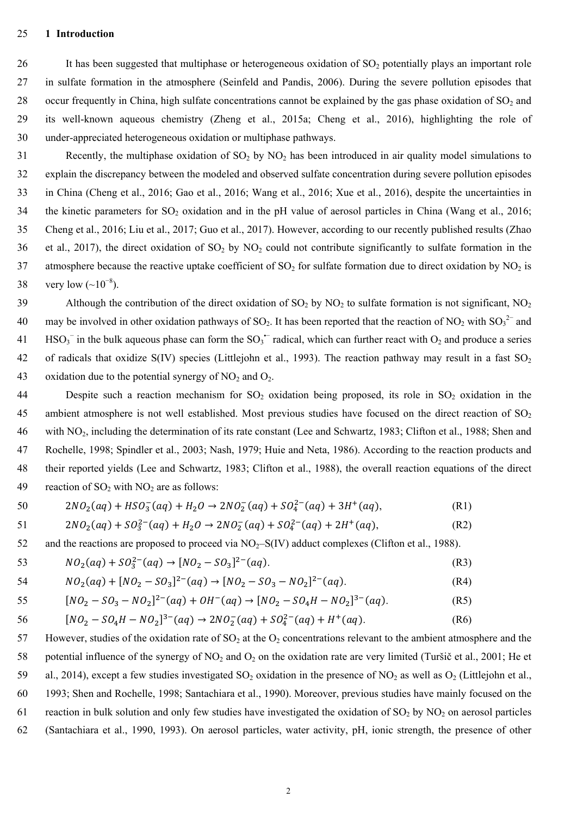#### 25 **1 Introduction**

26 It has been suggested that multiphase or heterogeneous oxidation of SO<sub>2</sub> potentially plays an important role 27 in sulfate formation in the atmosphere (Seinfeld and Pandis, 2006). During the severe pollution episodes that 28 occur frequently in China, high sulfate concentrations cannot be explained by the gas phase oxidation of  $SO_2$  and 29 its well-known aqueous chemistry (Zheng et al., 2015a; Cheng et al., 2016), highlighting the role of 30 under-appreciated heterogeneous oxidation or multiphase pathways.

31 Recently, the multiphase oxidation of  $SO_2$  by  $NO_2$  has been introduced in air quality model simulations to 32 explain the discrepancy between the modeled and observed sulfate concentration during severe pollution episodes 33 in China (Cheng et al., 2016; Gao et al., 2016; Wang et al., 2016; Xue et al., 2016), despite the uncertainties in 34 the kinetic parameters for  $SO_2$  oxidation and in the pH value of aerosol particles in China (Wang et al., 2016; 35 Cheng et al., 2016; Liu et al., 2017; Guo et al., 2017). However, according to our recently published results (Zhao 36 et al., 2017), the direct oxidation of  $SO_2$  by  $NO_2$  could not contribute significantly to sulfate formation in the 37 atmosphere because the reactive uptake coefficient of  $SO_2$  for sulfate formation due to direct oxidation by  $NO_2$  is 38 very low  $({\sim}10^{-8})$ .

39 Although the contribution of the direct oxidation of  $SO_2$  by  $NO_2$  to sulfate formation is not significant,  $NO_2$ 40 may be involved in other oxidation pathways of SO<sub>2</sub>. It has been reported that the reaction of NO<sub>2</sub> with SO<sub>3</sub><sup>2-</sup> and 41 HSO<sub>3</sub><sup> $-$ </sup> in the bulk aqueous phase can form the SO<sub>3</sub><sup> $-$ </sup> radical, which can further react with O<sub>2</sub> and produce a series 42 of radicals that oxidize  $S(IV)$  species (Littlejohn et al., 1993). The reaction pathway may result in a fast  $SO<sub>2</sub>$ 43 oxidation due to the potential synergy of  $NO<sub>2</sub>$  and  $O<sub>2</sub>$ .

44 Despite such a reaction mechanism for  $SO_2$  oxidation being proposed, its role in  $SO_2$  oxidation in the 45 ambient atmosphere is not well established. Most previous studies have focused on the direct reaction of SO<sub>2</sub> 46 with NO2, including the determination of its rate constant (Lee and Schwartz, 1983; Clifton et al., 1988; Shen and 47 Rochelle, 1998; Spindler et al., 2003; Nash, 1979; Huie and Neta, 1986). According to the reaction products and 48 their reported yields (Lee and Schwartz, 1983; Clifton et al., 1988), the overall reaction equations of the direct 49 reaction of  $SO_2$  with  $NO_2$  are as follows:

$$
50 \t2NO2(aq) + HSO3-(aq) + H2O \rightarrow 2NO2-(aq) + SO42-(aq) + 3H+(aq),
$$
 (R1)

51 
$$
2NO_2(aq) + SO_3^{2-}(aq) + H_2O \rightarrow 2NO_2^-(aq) + SO_4^{2-}(aq) + 2H^+(aq),
$$
 (R2)

52 and the reactions are proposed to proceed via  $NO<sub>2</sub>-S(IV)$  adduct complexes (Clifton et al., 1988).

$$
NO_2(aq) + SO_3^{2-}(aq) \rightarrow [NO_2 - SO_3]^{2-}(aq). \tag{R3}
$$

$$
54 \qquad NO_2(aq) + [NO_2 - SO_3]^{2-}(aq) \rightarrow [NO_2 - SO_3 - NO_2]^{2-}(aq). \tag{R4}
$$

$$
[NO2 - SO3 - NO2]2-(aq) + OH-(aq) \rightarrow [NO2 - SO4H - NO2]3-(aq).
$$
 (R5)

$$
56 \qquad [NO_2 - SO_4H - NO_2]^{3-}(aq) \to 2NO_2^-(aq) + SO_4^{2-}(aq) + H^+(aq). \tag{R6}
$$

57 However, studies of the oxidation rate of  $SO_2$  at the  $O_2$  concentrations relevant to the ambient atmosphere and the 58 potential influence of the synergy of  $NO_2$  and  $O_2$  on the oxidation rate are very limited (Turšič et al., 2001; He et 59 al., 2014), except a few studies investigated  $SO_2$  oxidation in the presence of  $NO_2$  as well as  $O_2$  (Littlejohn et al., 60 1993; Shen and Rochelle, 1998; Santachiara et al., 1990). Moreover, previous studies have mainly focused on the 61 reaction in bulk solution and only few studies have investigated the oxidation of  $SO_2$  by  $NO_2$  on aerosol particles 62 (Santachiara et al., 1990, 1993). On aerosol particles, water activity, pH, ionic strength, the presence of other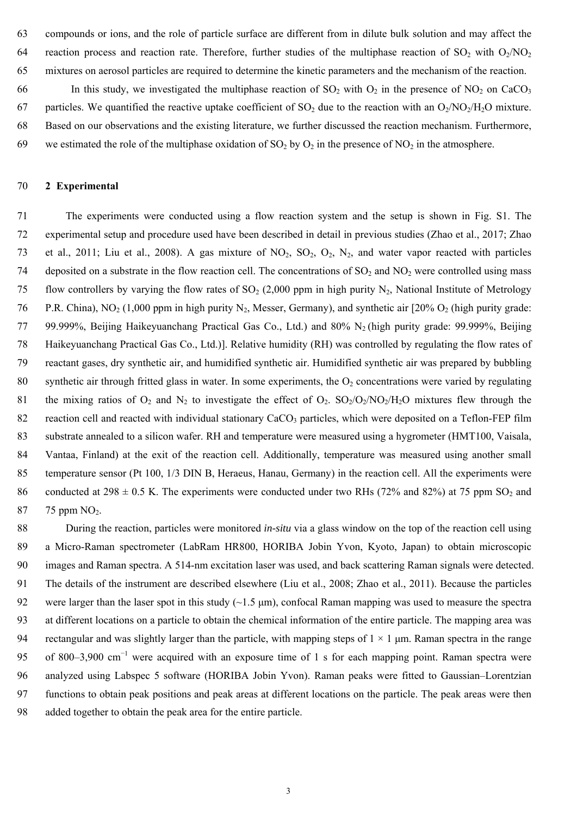63 compounds or ions, and the role of particle surface are different from in dilute bulk solution and may affect the 64 reaction process and reaction rate. Therefore, further studies of the multiphase reaction of  $SO_2$  with  $O_2/NO_2$ 65 mixtures on aerosol particles are required to determine the kinetic parameters and the mechanism of the reaction.

66 In this study, we investigated the multiphase reaction of  $SO_2$  with  $O_2$  in the presence of  $NO_2$  on CaCO<sub>3</sub> 67 particles. We quantified the reactive uptake coefficient of  $SO_2$  due to the reaction with an  $O_2/NO_2/H_2O$  mixture. 68 Based on our observations and the existing literature, we further discussed the reaction mechanism. Furthermore, 69 we estimated the role of the multiphase oxidation of SO<sub>2</sub> by O<sub>2</sub> in the presence of NO<sub>2</sub> in the atmosphere.

## 70 **2 Experimental**

71 The experiments were conducted using a flow reaction system and the setup is shown in Fig. S1. The 72 experimental setup and procedure used have been described in detail in previous studies (Zhao et al., 2017; Zhao 73 et al., 2011; Liu et al., 2008). A gas mixture of  $NO_2$ ,  $SO_2$ ,  $O_2$ ,  $N_2$ , and water vapor reacted with particles 74 deposited on a substrate in the flow reaction cell. The concentrations of  $SO_2$  and  $NO_2$  were controlled using mass 75 flow controllers by varying the flow rates of  $SO_2$  (2,000 ppm in high purity N<sub>2</sub>, National Institute of Metrology 76 P.R. China), NO<sub>2</sub> (1,000 ppm in high purity N<sub>2</sub>, Messer, Germany), and synthetic air [20% O<sub>2</sub> (high purity grade: 77 99.999%, Beijing Haikeyuanchang Practical Gas Co., Ltd.) and  $80\%$  N<sub>2</sub> (high purity grade: 99.999%, Beijing 78 Haikeyuanchang Practical Gas Co., Ltd.)]. Relative humidity (RH) was controlled by regulating the flow rates of 79 reactant gases, dry synthetic air, and humidified synthetic air. Humidified synthetic air was prepared by bubbling 80 synthetic air through fritted glass in water. In some experiments, the  $O_2$  concentrations were varied by regulating 81 the mixing ratios of  $O_2$  and  $N_2$  to investigate the effect of  $O_2$ .  $SO_2/O_2/NO_2/H_2O$  mixtures flew through the 82 reaction cell and reacted with individual stationary CaCO<sub>3</sub> particles, which were deposited on a Teflon-FEP film 83 substrate annealed to a silicon wafer. RH and temperature were measured using a hygrometer (HMT100, Vaisala, 84 Vantaa, Finland) at the exit of the reaction cell. Additionally, temperature was measured using another small 85 temperature sensor (Pt 100, 1/3 DIN B, Heraeus, Hanau, Germany) in the reaction cell. All the experiments were 86 conducted at 298  $\pm$  0.5 K. The experiments were conducted under two RHs (72% and 82%) at 75 ppm SO<sub>2</sub> and 87 75 ppm NO<sub>2</sub>.

88 During the reaction, particles were monitored *in-situ* via a glass window on the top of the reaction cell using 89 a Micro-Raman spectrometer (LabRam HR800, HORIBA Jobin Yvon, Kyoto, Japan) to obtain microscopic 90 images and Raman spectra. A 514-nm excitation laser was used, and back scattering Raman signals were detected. 91 The details of the instrument are described elsewhere (Liu et al., 2008; Zhao et al., 2011). Because the particles 92 were larger than the laser spot in this study  $(\sim 1.5 \text{ µm})$ , confocal Raman mapping was used to measure the spectra 93 at different locations on a particle to obtain the chemical information of the entire particle. The mapping area was 94 rectangular and was slightly larger than the particle, with mapping steps of  $1 \times 1$  µm. Raman spectra in the range 95 of 800–3,900 cm<sup>-1</sup> were acquired with an exposure time of 1 s for each mapping point. Raman spectra were 96 analyzed using Labspec 5 software (HORIBA Jobin Yvon). Raman peaks were fitted to Gaussian–Lorentzian 97 functions to obtain peak positions and peak areas at different locations on the particle. The peak areas were then 98 added together to obtain the peak area for the entire particle.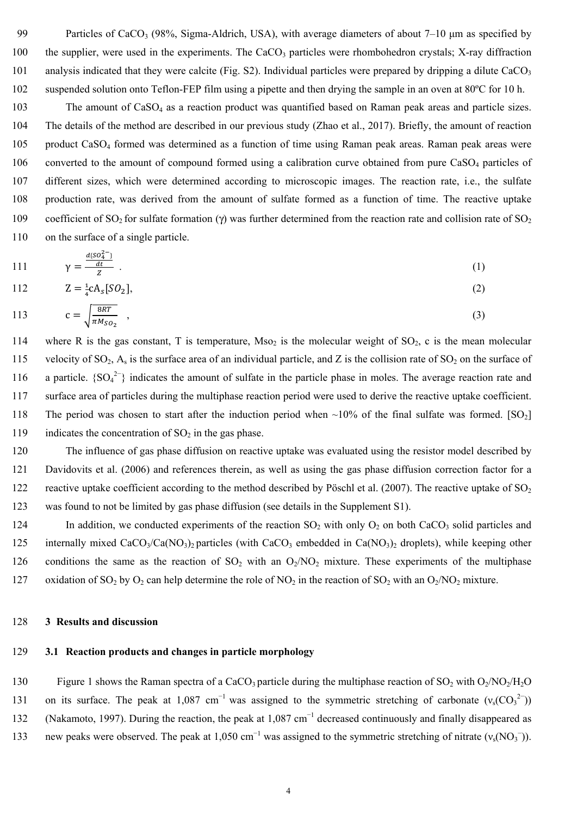99 Particles of CaCO<sub>3</sub> (98%, Sigma-Aldrich, USA), with average diameters of about  $7-10$  µm as specified by 100 the supplier, were used in the experiments. The CaCO<sub>3</sub> particles were rhombohedron crystals; X-ray diffraction 101 analysis indicated that they were calcite (Fig. S2). Individual particles were prepared by dripping a dilute  $CaCO<sub>3</sub>$ 102 suspended solution onto Teflon-FEP film using a pipette and then drying the sample in an oven at 80ºC for 10 h.

103 The amount of CaSO<sub>4</sub> as a reaction product was quantified based on Raman peak areas and particle sizes. 104 The details of the method are described in our previous study (Zhao et al., 2017). Briefly, the amount of reaction 105 product CaSO4 formed was determined as a function of time using Raman peak areas. Raman peak areas were 106 converted to the amount of compound formed using a calibration curve obtained from pure CaSO<sub>4</sub> particles of 107 different sizes, which were determined according to microscopic images. The reaction rate, i.e., the sulfate 108 production rate, was derived from the amount of sulfate formed as a function of time. The reactive uptake 109 coefficient of SO<sub>2</sub> for sulfate formation (γ) was further determined from the reaction rate and collision rate of SO<sub>2</sub> 110 on the surface of a single particle.

111 
$$
\gamma = \frac{\frac{d\{SO_4^{2-}}{dt}}{dt}}{Z} \ .
$$
 (1)

112 
$$
Z = \frac{1}{4}cA_s[SO_2],
$$
 (2)

$$
113 \t c = \sqrt{\frac{8RT}{\pi M_{SO_2}}} \t (3)
$$

114 where R is the gas constant, T is temperature, Mso<sub>2</sub> is the molecular weight of SO<sub>2</sub>, c is the mean molecular 115 velocity of  $SO_2$ ,  $A_s$  is the surface area of an individual particle, and Z is the collision rate of  $SO_2$  on the surface of 116 a particle.  ${SO_4}^{2-}$  indicates the amount of sulfate in the particle phase in moles. The average reaction rate and 117 surface area of particles during the multiphase reaction period were used to derive the reactive uptake coefficient. 118 The period was chosen to start after the induction period when  $\sim$ 10% of the final sulfate was formed. [SO<sub>2</sub>] 119 indicates the concentration of  $SO<sub>2</sub>$  in the gas phase.

120 The influence of gas phase diffusion on reactive uptake was evaluated using the resistor model described by 121 Davidovits et al. (2006) and references therein, as well as using the gas phase diffusion correction factor for a 122 reactive uptake coefficient according to the method described by Pöschl et al. (2007). The reactive uptake of  $SO_2$ 123 was found to not be limited by gas phase diffusion (see details in the Supplement S1).

124 In addition, we conducted experiments of the reaction  $SO_2$  with only  $O_2$  on both CaCO<sub>3</sub> solid particles and 125 internally mixed CaCO<sub>3</sub>/Ca(NO<sub>3</sub>)<sub>2</sub> particles (with CaCO<sub>3</sub> embedded in Ca(NO<sub>3</sub>)<sub>2</sub> droplets), while keeping other 126 conditions the same as the reaction of  $SO_2$  with an  $O_2/NO_2$  mixture. These experiments of the multiphase 127 oxidation of SO<sub>2</sub> by O<sub>2</sub> can help determine the role of NO<sub>2</sub> in the reaction of SO<sub>2</sub> with an O<sub>2</sub>/NO<sub>2</sub> mixture.

#### 128 **3 Results and discussion**

## 129 **3.1 Reaction products and changes in particle morphology**

130 Figure 1 shows the Raman spectra of a CaCO<sub>3</sub> particle during the multiphase reaction of SO<sub>2</sub> with O<sub>2</sub>/NO<sub>2</sub>/H<sub>2</sub>O 131 on its surface. The peak at 1,087 cm<sup>-1</sup> was assigned to the symmetric stretching of carbonate ( $v_s(CO_3^2)$ ) 132 (Nakamoto, 1997). During the reaction, the peak at 1,087 cm<sup>-1</sup> decreased continuously and finally disappeared as new peaks were observed. The peak at 1,050 cm<sup>-1</sup> was assigned to the symmetric stretching of nitrate ( $v_s(NO_3^-)$ ).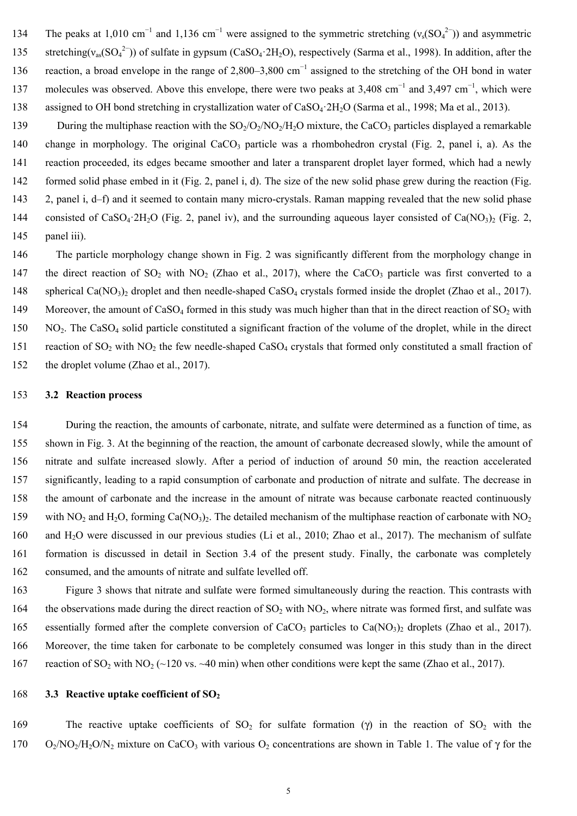134 The peaks at 1,010 cm<sup>-1</sup> and 1,136 cm<sup>-1</sup> were assigned to the symmetric stretching ( $v_s(SO_4^{2-})$ ) and asymmetric 135 stretching( $v_{as}(SO_4^2)$ ) of sulfate in gypsum (CaSO<sub>4</sub>·2H<sub>2</sub>O), respectively (Sarma et al., 1998). In addition, after the 136 reaction, a broad envelope in the range of 2,800–3,800 cm<sup>-1</sup> assigned to the stretching of the OH bond in water 137 molecules was observed. Above this envelope, there were two peaks at 3,408 cm<sup>-1</sup> and 3,497 cm<sup>-1</sup>, which were 138 assigned to OH bond stretching in crystallization water of CaSO<sub>4</sub>·2H<sub>2</sub>O (Sarma et al., 1998; Ma et al., 2013).

139 During the multiphase reaction with the  $SO_2/O_2/NO_2/H_2O$  mixture, the CaCO<sub>3</sub> particles displayed a remarkable 140 change in morphology. The original  $CaCO<sub>3</sub>$  particle was a rhombohedron crystal (Fig. 2, panel i, a). As the 141 reaction proceeded, its edges became smoother and later a transparent droplet layer formed, which had a newly 142 formed solid phase embed in it (Fig. 2, panel i, d). The size of the new solid phase grew during the reaction (Fig. 143 2, panel i, d–f) and it seemed to contain many micro-crystals. Raman mapping revealed that the new solid phase 144 consisted of CaSO<sub>4</sub>·2H<sub>2</sub>O (Fig. 2, panel iv), and the surrounding aqueous layer consisted of Ca(NO<sub>3</sub>)<sub>2</sub> (Fig. 2, 145 panel iii).

146 The particle morphology change shown in Fig. 2 was significantly different from the morphology change in 147 the direct reaction of SO<sub>2</sub> with NO<sub>2</sub> (Zhao et al., 2017), where the CaCO<sub>3</sub> particle was first converted to a 148 spherical Ca(NO<sub>3</sub>)<sub>2</sub> droplet and then needle-shaped CaSO<sub>4</sub> crystals formed inside the droplet (Zhao et al., 2017). 149 Moreover, the amount of CaSO<sub>4</sub> formed in this study was much higher than that in the direct reaction of  $SO_2$  with  $150$  NO<sub>2</sub>. The CaSO<sub>4</sub> solid particle constituted a significant fraction of the volume of the droplet, while in the direct 151 reaction of  $SO_2$  with  $NO_2$  the few needle-shaped  $CaSO_4$  crystals that formed only constituted a small fraction of 152 the droplet volume (Zhao et al., 2017).

#### 153 **3.2 Reaction process**

154 During the reaction, the amounts of carbonate, nitrate, and sulfate were determined as a function of time, as 155 shown in Fig. 3. At the beginning of the reaction, the amount of carbonate decreased slowly, while the amount of 156 nitrate and sulfate increased slowly. After a period of induction of around 50 min, the reaction accelerated 157 significantly, leading to a rapid consumption of carbonate and production of nitrate and sulfate. The decrease in 158 the amount of carbonate and the increase in the amount of nitrate was because carbonate reacted continuously 159 with NO<sub>2</sub> and H<sub>2</sub>O, forming Ca(NO<sub>3</sub>)<sub>2</sub>. The detailed mechanism of the multiphase reaction of carbonate with NO<sub>2</sub> 160 and H2O were discussed in our previous studies (Li et al., 2010; Zhao et al., 2017). The mechanism of sulfate 161 formation is discussed in detail in Section 3.4 of the present study. Finally, the carbonate was completely 162 consumed, and the amounts of nitrate and sulfate levelled off.

163 Figure 3 shows that nitrate and sulfate were formed simultaneously during the reaction. This contrasts with 164 the observations made during the direct reaction of  $SO_2$  with  $NO_2$ , where nitrate was formed first, and sulfate was 165 essentially formed after the complete conversion of CaCO<sub>3</sub> particles to Ca(NO<sub>3</sub>)<sub>2</sub> droplets (Zhao et al., 2017). 166 Moreover, the time taken for carbonate to be completely consumed was longer in this study than in the direct 167 reaction of SO<sub>2</sub> with NO<sub>2</sub> (~120 vs. ~40 min) when other conditions were kept the same (Zhao et al., 2017).

#### 168 **3.3** Reactive uptake coefficient of SO<sub>2</sub>

169 The reactive uptake coefficients of  $SO_2$  for sulfate formation (γ) in the reaction of  $SO_2$  with the 170 O<sub>2</sub>/NO<sub>2</sub>/H<sub>2</sub>O/N<sub>2</sub> mixture on CaCO<sub>3</sub> with various O<sub>2</sub> concentrations are shown in Table 1. The value of  $\gamma$  for the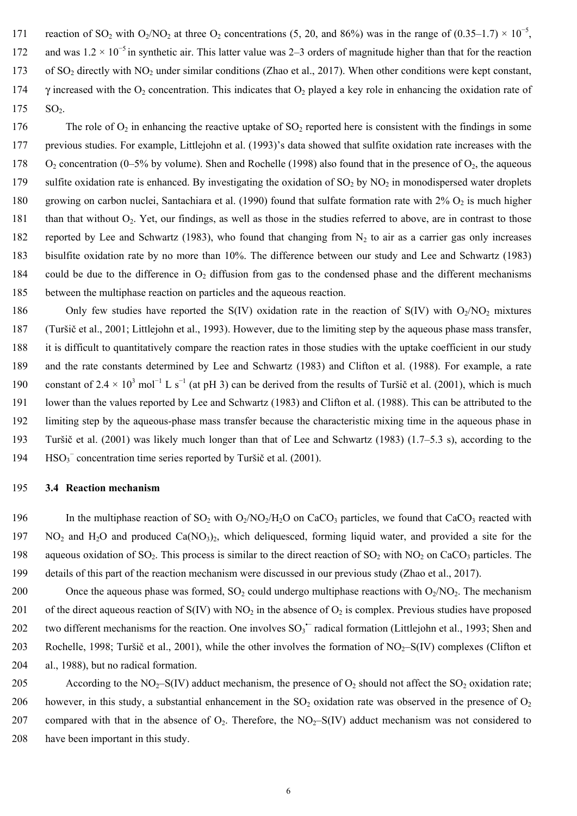171 reaction of SO<sub>2</sub> with O<sub>2</sub>/NO<sub>2</sub> at three O<sub>2</sub> concentrations (5, 20, and 86%) was in the range of (0.35–1.7) × 10<sup>-5</sup>. 172 and was  $1.2 \times 10^{-5}$  in synthetic air. This latter value was 2–3 orders of magnitude higher than that for the reaction 173 of SO<sub>2</sub> directly with NO<sub>2</sub> under similar conditions (Zhao et al., 2017). When other conditions were kept constant, 174 γ increased with the O<sub>2</sub> concentration. This indicates that O<sub>2</sub> played a key role in enhancing the oxidation rate of 175 SO<sub>2</sub>.

176 The role of  $O_2$  in enhancing the reactive uptake of  $SO_2$  reported here is consistent with the findings in some 177 previous studies. For example, Littlejohn et al. (1993)'s data showed that sulfite oxidation rate increases with the 178  $O_2$  concentration (0–5% by volume). Shen and Rochelle (1998) also found that in the presence of  $O_2$ , the aqueous 179 sulfite oxidation rate is enhanced. By investigating the oxidation of  $SO_2$  by  $NO_2$  in monodispersed water droplets 180 growing on carbon nuclei, Santachiara et al. (1990) found that sulfate formation rate with  $2\%$  O<sub>2</sub> is much higher 181 than that without  $O_2$ . Yet, our findings, as well as those in the studies referred to above, are in contrast to those 182 reported by Lee and Schwartz (1983), who found that changing from  $N_2$  to air as a carrier gas only increases 183 bisulfite oxidation rate by no more than 10%. The difference between our study and Lee and Schwartz (1983) 184 could be due to the difference in  $O<sub>2</sub>$  diffusion from gas to the condensed phase and the different mechanisms 185 between the multiphase reaction on particles and the aqueous reaction.

186 Only few studies have reported the S(IV) oxidation rate in the reaction of S(IV) with  $O_2/NO_2$  mixtures 187 (Turšič et al., 2001; Littlejohn et al., 1993). However, due to the limiting step by the aqueous phase mass transfer, 188 it is difficult to quantitatively compare the reaction rates in those studies with the uptake coefficient in our study 189 and the rate constants determined by Lee and Schwartz (1983) and Clifton et al. (1988). For example, a rate 190 constant of 2.4  $\times$  10<sup>3</sup> mol<sup>-1</sup> L s<sup>-1</sup> (at pH 3) can be derived from the results of Turšič et al. (2001), which is much 191 lower than the values reported by Lee and Schwartz (1983) and Clifton et al. (1988). This can be attributed to the 192 limiting step by the aqueous-phase mass transfer because the characteristic mixing time in the aqueous phase in 193 Turšič et al. (2001) was likely much longer than that of Lee and Schwartz (1983) (1.7–5.3 s), according to the 194 HSO<sub>3</sub><sup>-</sup> concentration time series reported by Turšič et al. (2001).

#### 195 **3.4 Reaction mechanism**

- 196 In the multiphase reaction of  $SO_2$  with  $O_2/NO_2/H_2O$  on CaCO<sub>3</sub> particles, we found that CaCO<sub>3</sub> reacted with  $197$  NO<sub>2</sub> and H<sub>2</sub>O and produced Ca(NO<sub>3</sub>)<sub>2</sub>, which deliquesced, forming liquid water, and provided a site for the 198 aqueous oxidation of SO<sub>2</sub>. This process is similar to the direct reaction of SO<sub>2</sub> with NO<sub>2</sub> on CaCO<sub>3</sub> particles. The 199 details of this part of the reaction mechanism were discussed in our previous study (Zhao et al., 2017).
- 200 Once the aqueous phase was formed,  $SO_2$  could undergo multiphase reactions with  $O_2/NO_2$ . The mechanism 201 of the direct aqueous reaction of  $S(IV)$  with NO<sub>2</sub> in the absence of O<sub>2</sub> is complex. Previous studies have proposed 202 two different mechanisms for the reaction. One involves  ${SO_3}^-$  radical formation (Littlejohn et al., 1993; Shen and 203 Rochelle, 1998; Turšič et al., 2001), while the other involves the formation of  $NO<sub>7</sub>–S(IV)$  complexes (Clifton et 204 al., 1988), but no radical formation.
- 205 According to the  $NO_2-S(IV)$  adduct mechanism, the presence of  $O_2$  should not affect the  $SO_2$  oxidation rate; 206 however, in this study, a substantial enhancement in the  $SO_2$  oxidation rate was observed in the presence of  $O_2$ 207 compared with that in the absence of  $O_2$ . Therefore, the  $NO_2-S(IV)$  adduct mechanism was not considered to 208 have been important in this study.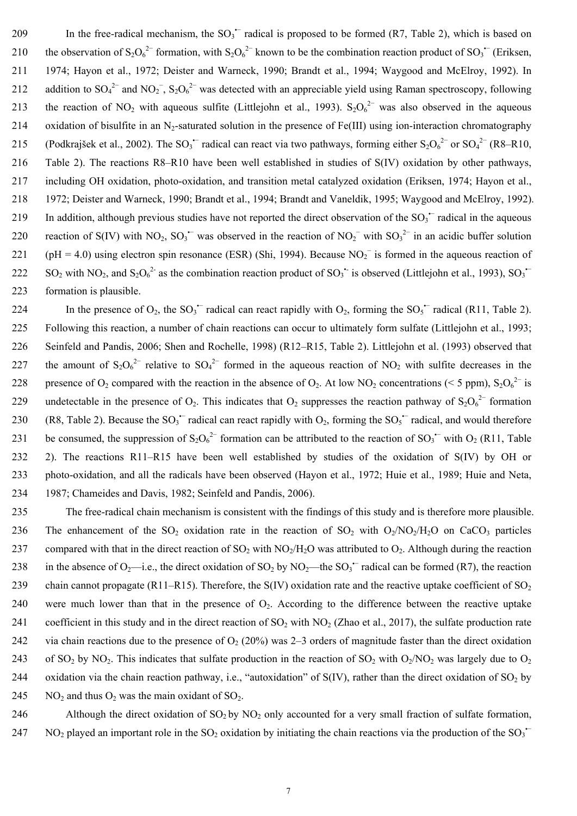209 In the free-radical mechanism, the  ${SO_3}^-$  radical is proposed to be formed (R7, Table 2), which is based on 210 the observation of S<sub>2</sub>O<sub>6</sub><sup>2–</sup> formation, with S<sub>2</sub>O<sub>6</sub><sup>2–</sup> known to be the combination reaction product of SO<sub>3</sub><sup>–</sup> (Eriksen, 211 1974; Hayon et al., 1972; Deister and Warneck, 1990; Brandt et al., 1994; Waygood and McElroy, 1992). In 212 addition to SO<sub>4</sub><sup>2-</sup> and NO<sub>2</sub><sup>-</sup>, S<sub>2</sub>O<sub>6</sub><sup>2-</sup> was detected with an appreciable yield using Raman spectroscopy, following 213 the reaction of NO<sub>2</sub> with aqueous sulfite (Littlejohn et al., 1993). S<sub>2</sub>O<sub>6</sub><sup>2-</sup> was also observed in the aqueous 214 oxidation of bisulfite in an N<sub>2</sub>-saturated solution in the presence of Fe(III) using ion-interaction chromatography 215 (Podkrajšek et al., 2002). The SO<sub>3</sub><sup> $-$ </sup> radical can react via two pathways, forming either S<sub>2</sub>O<sub>6</sub><sup>2-</sup> or SO<sub>4</sub><sup>2-</sup> (R8–R10, 216 Table 2). The reactions R8–R10 have been well established in studies of S(IV) oxidation by other pathways, 217 including OH oxidation, photo-oxidation, and transition metal catalyzed oxidation (Eriksen, 1974; Hayon et al., 218 1972; Deister and Warneck, 1990; Brandt et al., 1994; Brandt and Vaneldik, 1995; Waygood and McElroy, 1992). 219 In addition, although previous studies have not reported the direct observation of the  ${SO_3}^-$  radical in the aqueous 220 reaction of S(IV) with NO<sub>2</sub>, SO<sub>3</sub><sup> $-$ </sup> was observed in the reaction of NO<sub>2</sub><sup> $-$ </sup> with SO<sub>3</sub><sup>2 $-$ </sup> in an acidic buffer solution 221 (pH = 4.0) using electron spin resonance (ESR) (Shi, 1994). Because  $NO<sub>2</sub>^-$  is formed in the aqueous reaction of 222 SO<sub>2</sub> with NO<sub>2</sub>, and S<sub>2</sub>O<sub>6</sub><sup>2</sup> as the combination reaction product of SO<sub>3</sub><sup>+</sup> is observed (Littlejohn et al., 1993), SO<sub>3</sub><sup>+</sup> 223 formation is plausible.

224 In the presence of  $O_2$ , the  $SO_3^{\text{-}}$  radical can react rapidly with  $O_2$ , forming the  $SO_5^{\text{-}}$  radical (R11, Table 2). 225 Following this reaction, a number of chain reactions can occur to ultimately form sulfate (Littlejohn et al., 1993; 226 Seinfeld and Pandis, 2006; Shen and Rochelle, 1998) (R12–R15, Table 2). Littlejohn et al. (1993) observed that 227 the amount of  $S_2O_6^{2-}$  relative to  $SO_4^{2-}$  formed in the aqueous reaction of NO<sub>2</sub> with sulfite decreases in the 228 presence of O<sub>2</sub> compared with the reaction in the absence of O<sub>2</sub>. At low NO<sub>2</sub> concentrations (< 5 ppm), S<sub>2</sub>O<sub>6</sub><sup>2-</sup> is 229 undetectable in the presence of O<sub>2</sub>. This indicates that O<sub>2</sub> suppresses the reaction pathway of S<sub>2</sub>O<sub>6</sub><sup>2-</sup> formation 230 (R8, Table 2). Because the SO<sub>3</sub> radical can react rapidly with O<sub>2</sub>, forming the SO<sub>5</sub> radical, and would therefore 231 be consumed, the suppression of  $S_2O_6^{2-}$  formation can be attributed to the reaction of  $SO_3^+$  with  $O_2$  (R11, Table 232 2). The reactions R11–R15 have been well established by studies of the oxidation of S(IV) by OH or 233 photo-oxidation, and all the radicals have been observed (Hayon et al., 1972; Huie et al., 1989; Huie and Neta, 234 1987; Chameides and Davis, 1982; Seinfeld and Pandis, 2006).

235 The free-radical chain mechanism is consistent with the findings of this study and is therefore more plausible. 236 The enhancement of the  $SO_2$  oxidation rate in the reaction of  $SO_2$  with  $O_2/NO_2/H_2O$  on CaCO<sub>3</sub> particles 237 compared with that in the direct reaction of SO<sub>2</sub> with NO<sub>2</sub>/H<sub>2</sub>O was attributed to O<sub>2</sub>. Although during the reaction 238 in the absence of O<sub>2</sub>—i.e., the direct oxidation of SO<sub>2</sub> by NO<sub>2</sub>—the SO<sub>3</sub><sup>••</sup> radical can be formed (R7), the reaction 239 chain cannot propagate (R11–R15). Therefore, the S(IV) oxidation rate and the reactive uptake coefficient of  $SO_2$ 240 were much lower than that in the presence of  $O_2$ . According to the difference between the reactive uptake 241 coefficient in this study and in the direct reaction of  $SO_2$  with  $NO_2$  (Zhao et al., 2017), the sulfate production rate 242 via chain reactions due to the presence of  $O_2$  (20%) was 2–3 orders of magnitude faster than the direct oxidation 243 of SO<sub>2</sub> by NO<sub>2</sub>. This indicates that sulfate production in the reaction of SO<sub>2</sub> with O<sub>2</sub>/NO<sub>2</sub> was largely due to O<sub>2</sub> 244 oxidation via the chain reaction pathway, i.e., "autoxidation" of  $S(IV)$ , rather than the direct oxidation of  $SO_2$  by 245 NO<sub>2</sub> and thus  $O_2$  was the main oxidant of SO<sub>2</sub>.

246 Although the direct oxidation of  $SO_2$  by  $NO_2$  only accounted for a very small fraction of sulfate formation, 247 NO<sub>2</sub> played an important role in the SO<sub>2</sub> oxidation by initiating the chain reactions via the production of the SO<sub>3</sub><sup>•</sup>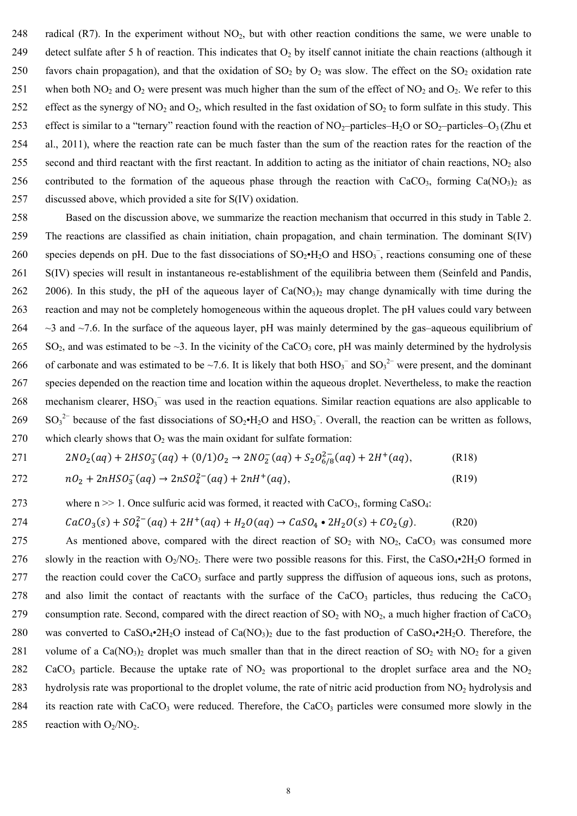248 radical (R7). In the experiment without  $NO<sub>2</sub>$ , but with other reaction conditions the same, we were unable to 249 detect sulfate after 5 h of reaction. This indicates that  $O_2$  by itself cannot initiate the chain reactions (although it 250 favors chain propagation), and that the oxidation of  $SO_2$  by  $O_2$  was slow. The effect on the  $SO_2$  oxidation rate 251 when both  $NO_2$  and  $O_2$  were present was much higher than the sum of the effect of  $NO_2$  and  $O_2$ . We refer to this 252 effect as the synergy of  $NO_2$  and  $O_2$ , which resulted in the fast oxidation of  $SO_2$  to form sulfate in this study. This 253 effect is similar to a "ternary" reaction found with the reaction of  $NO_2$ –particles–H<sub>2</sub>O or  $SO_2$ –particles–O<sub>3</sub> (Zhu et 254 al., 2011), where the reaction rate can be much faster than the sum of the reaction rates for the reaction of the 255 second and third reactant with the first reactant. In addition to acting as the initiator of chain reactions,  $NO<sub>2</sub>$  also 256 contributed to the formation of the aqueous phase through the reaction with  $CaCO<sub>3</sub>$ , forming  $Ca(NO<sub>3</sub>)<sub>2</sub>$  as 257 discussed above, which provided a site for S(IV) oxidation.

258 Based on the discussion above, we summarize the reaction mechanism that occurred in this study in Table 2. 259 The reactions are classified as chain initiation, chain propagation, and chain termination. The dominant S(IV) 260 species depends on pH. Due to the fast dissociations of  $SO_2 \cdot H_2O$  and  $HSO_3^-$ , reactions consuming one of these 261 S(IV) species will result in instantaneous re-establishment of the equilibria between them (Seinfeld and Pandis, 262 2006). In this study, the pH of the aqueous layer of  $Ca(NO<sub>3</sub>)<sub>2</sub>$  may change dynamically with time during the 263 reaction and may not be completely homogeneous within the aqueous droplet. The pH values could vary between 264  $\sim$  3 and  $\sim$  7.6. In the surface of the aqueous layer, pH was mainly determined by the gas–aqueous equilibrium of 265 SO<sub>2</sub>, and was estimated to be  $\sim$ 3. In the vicinity of the CaCO<sub>3</sub> core, pH was mainly determined by the hydrolysis 266 of carbonate and was estimated to be ~7.6. It is likely that both  $HSO_3^-$  and  $SO_3^{2-}$  were present, and the dominant 267 species depended on the reaction time and location within the aqueous droplet. Nevertheless, to make the reaction 268 mechanism clearer,  $HSO_3^-$  was used in the reaction equations. Similar reaction equations are also applicable to  $269$  SO<sub>3</sub><sup>2–</sup> because of the fast dissociations of SO<sub>2</sub>•H<sub>2</sub>O and HSO<sub>3</sub><sup>–</sup>. Overall, the reaction can be written as follows, 270 which clearly shows that  $O_2$  was the main oxidant for sulfate formation:

$$
271 \t2NO2(aq) + 2HSO3-(aq) + (0/1)O2 \rightarrow 2NO2-(aq) + S2O6/82(aq) + 2H+(aq),
$$
 (R18)

$$
272 \t nO2 + 2nHSO3-(aq) \to 2nSO42-(aq) + 2nH+(aq),
$$
 (R19)

### 273 where  $n \gg 1$ . Once sulfuric acid was formed, it reacted with CaCO<sub>3</sub>, forming CaSO<sub>4</sub>:

$$
274 \t CaCO3(s) + SO42-(aq) + 2H+(aq) + H2O(aq) \rightarrow CaSO4 \bullet 2H2O(s) + CO2(g).
$$
 (R20)

275 As mentioned above, compared with the direct reaction of  $SO_2$  with  $NO_2$ , CaCO<sub>3</sub> was consumed more 276 slowly in the reaction with  $O_2/NO_2$ . There were two possible reasons for this. First, the CaSO<sub>4</sub>•2H<sub>2</sub>O formed in 277 the reaction could cover the  $CaCO<sub>3</sub>$  surface and partly suppress the diffusion of aqueous ions, such as protons, 278 and also limit the contact of reactants with the surface of the CaCO<sub>3</sub> particles, thus reducing the CaCO<sub>3</sub> 279 consumption rate. Second, compared with the direct reaction of  $SO_2$  with  $NO_2$ , a much higher fraction of CaCO<sub>3</sub> 280 was converted to  $CaSO_4\text{-}2H_2O$  instead of  $Ca(NO_3)_2$  due to the fast production of  $CaSO_4\text{-}2H_2O$ . Therefore, the 281 volume of a Ca(NO<sub>3</sub>)<sub>2</sub> droplet was much smaller than that in the direct reaction of SO<sub>2</sub> with NO<sub>2</sub> for a given 282 CaCO<sub>3</sub> particle. Because the uptake rate of  $NO<sub>2</sub>$  was proportional to the droplet surface area and the  $NO<sub>2</sub>$ 283 hydrolysis rate was proportional to the droplet volume, the rate of nitric acid production from  $NO<sub>2</sub>$  hydrolysis and 284 its reaction rate with  $CaCO<sub>3</sub>$  were reduced. Therefore, the  $CaCO<sub>3</sub>$  particles were consumed more slowly in the 285 reaction with  $O_2/NO_2$ .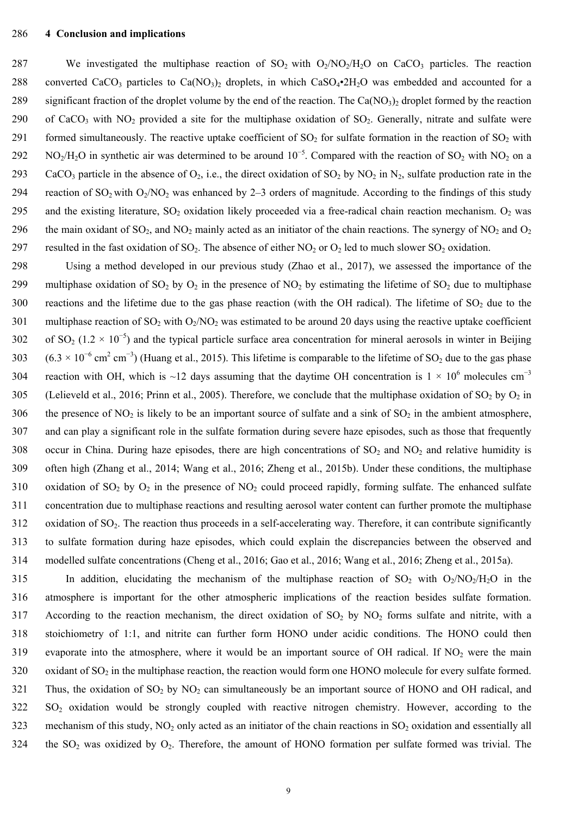#### 286 **4 Conclusion and implications**

287 We investigated the multiphase reaction of  $SO_2$  with  $O_2/NO_2/H_2O$  on CaCO<sub>3</sub> particles. The reaction 288 converted CaCO<sub>3</sub> particles to Ca(NO<sub>3</sub>)<sub>2</sub> droplets, in which CaSO<sub>4</sub>•2H<sub>2</sub>O was embedded and accounted for a 289 significant fraction of the droplet volume by the end of the reaction. The Ca( $NO<sub>3</sub>$ )<sub>2</sub> droplet formed by the reaction 290 of CaCO<sub>3</sub> with NO<sub>2</sub> provided a site for the multiphase oxidation of SO<sub>2</sub>. Generally, nitrate and sulfate were 291 formed simultaneously. The reactive uptake coefficient of  $SO_2$  for sulfate formation in the reaction of  $SO_2$  with  $N_{\rm O_2/H_2O}$  in synthetic air was determined to be around  $10^{-5}$ . Compared with the reaction of SO<sub>2</sub> with NO<sub>2</sub> on a 293 CaCO<sub>3</sub> particle in the absence of O<sub>2</sub>, i.e., the direct oxidation of SO<sub>2</sub> by NO<sub>2</sub> in N<sub>2</sub>, sulfate production rate in the 294 reaction of  $SO_2$  with  $O_2/NO_2$  was enhanced by 2–3 orders of magnitude. According to the findings of this study 295 and the existing literature,  $SO_2$  oxidation likely proceeded via a free-radical chain reaction mechanism.  $O_2$  was 296 the main oxidant of SO<sub>2</sub>, and NO<sub>2</sub> mainly acted as an initiator of the chain reactions. The synergy of NO<sub>2</sub> and O<sub>2</sub> 297 resulted in the fast oxidation of  $SO_2$ . The absence of either  $NO_2$  or  $O_2$  led to much slower  $SO_2$  oxidation.

298 Using a method developed in our previous study (Zhao et al., 2017), we assessed the importance of the 299 multiphase oxidation of SO<sub>2</sub> by O<sub>2</sub> in the presence of NO<sub>2</sub> by estimating the lifetime of SO<sub>2</sub> due to multiphase 300 reactions and the lifetime due to the gas phase reaction (with the OH radical). The lifetime of  $SO_2$  due to the 301 multiphase reaction of  $SO_2$  with  $O_2/NO_2$  was estimated to be around 20 days using the reactive uptake coefficient 302 of SO<sub>2</sub> (1.2 × 10<sup>-5</sup>) and the typical particle surface area concentration for mineral aerosols in winter in Beijing 303 (6.3 × 10<sup>-6</sup> cm<sup>2</sup> cm<sup>-3</sup>) (Huang et al., 2015). This lifetime is comparable to the lifetime of SO<sub>2</sub> due to the gas phase 304 reaction with OH, which is ~12 days assuming that the daytime OH concentration is  $1 \times 10^6$  molecules cm<sup>-3</sup> 305 (Lelieveld et al., 2016; Prinn et al., 2005). Therefore, we conclude that the multiphase oxidation of  $SO_2$  by  $O_2$  in 306 the presence of  $NO<sub>2</sub>$  is likely to be an important source of sulfate and a sink of  $SO<sub>2</sub>$  in the ambient atmosphere, 307 and can play a significant role in the sulfate formation during severe haze episodes, such as those that frequently 308 occur in China. During haze episodes, there are high concentrations of  $SO_2$  and  $NO_2$  and relative humidity is 309 often high (Zhang et al., 2014; Wang et al., 2016; Zheng et al., 2015b). Under these conditions, the multiphase 310 oxidation of SO<sub>2</sub> by O<sub>2</sub> in the presence of NO<sub>2</sub> could proceed rapidly, forming sulfate. The enhanced sulfate 311 concentration due to multiphase reactions and resulting aerosol water content can further promote the multiphase  $312$  oxidation of SO<sub>2</sub>. The reaction thus proceeds in a self-accelerating way. Therefore, it can contribute significantly 313 to sulfate formation during haze episodes, which could explain the discrepancies between the observed and 314 modelled sulfate concentrations (Cheng et al., 2016; Gao et al., 2016; Wang et al., 2016; Zheng et al., 2015a).

315 In addition, elucidating the mechanism of the multiphase reaction of  $SO_2$  with  $O_2/NO<sub>2</sub>/H<sub>2</sub>O$  in the 316 atmosphere is important for the other atmospheric implications of the reaction besides sulfate formation. 317 According to the reaction mechanism, the direct oxidation of  $SO_2$  by  $NO_2$  forms sulfate and nitrite, with a 318 stoichiometry of 1:1, and nitrite can further form HONO under acidic conditions. The HONO could then 319 evaporate into the atmosphere, where it would be an important source of OH radical. If  $NO<sub>2</sub>$  were the main  $320$  oxidant of  $SO_2$  in the multiphase reaction, the reaction would form one HONO molecule for every sulfate formed. 321 Thus, the oxidation of  $SO_2$  by  $NO_2$  can simultaneously be an important source of HONO and OH radical, and  $322$  SO<sub>2</sub> oxidation would be strongly coupled with reactive nitrogen chemistry. However, according to the 323 mechanism of this study,  $NO<sub>2</sub>$  only acted as an initiator of the chain reactions in  $SO<sub>2</sub>$  oxidation and essentially all 324 the  $SO_2$  was oxidized by  $O_2$ . Therefore, the amount of HONO formation per sulfate formed was trivial. The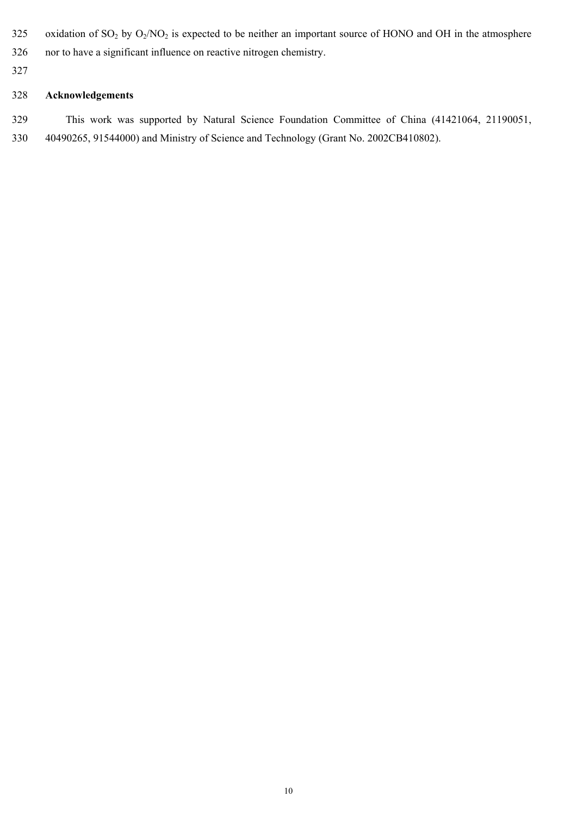- 325 oxidation of  $SO_2$  by  $O_2/NO_2$  is expected to be neither an important source of HONO and OH in the atmosphere
- 326 nor to have a significant influence on reactive nitrogen chemistry.
- 327

## 328 **Acknowledgements**

329 This work was supported by Natural Science Foundation Committee of China (41421064, 21190051, 330 40490265, 91544000) and Ministry of Science and Technology (Grant No. 2002CB410802).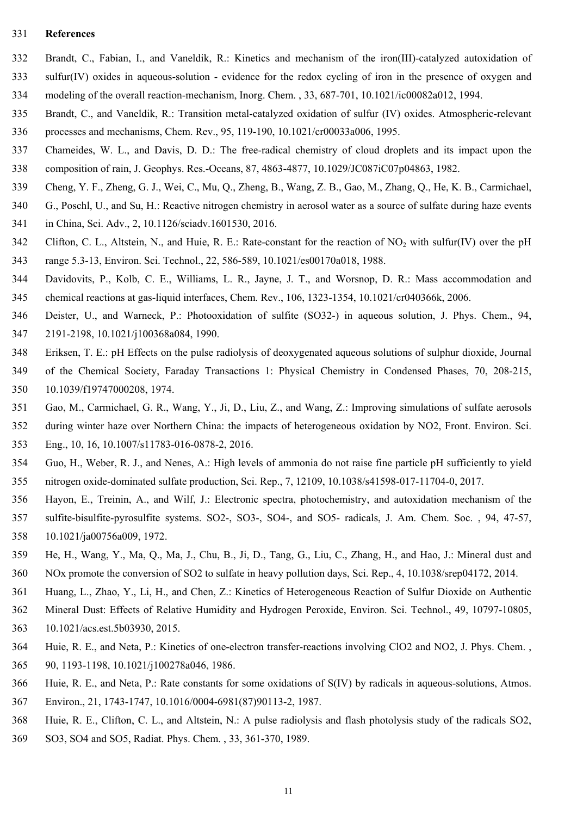#### 331 **References**

- 332 Brandt, C., Fabian, I., and Vaneldik, R.: Kinetics and mechanism of the iron(III)-catalyzed autoxidation of
- 333 sulfur(IV) oxides in aqueous-solution evidence for the redox cycling of iron in the presence of oxygen and 334 modeling of the overall reaction-mechanism, Inorg. Chem. , 33, 687-701, 10.1021/ic00082a012, 1994.
- 335 Brandt, C., and Vaneldik, R.: Transition metal-catalyzed oxidation of sulfur (IV) oxides. Atmospheric-relevant 336 processes and mechanisms, Chem. Rev., 95, 119-190, 10.1021/cr00033a006, 1995.
- 337 Chameides, W. L., and Davis, D. D.: The free-radical chemistry of cloud droplets and its impact upon the 338 composition of rain, J. Geophys. Res.-Oceans, 87, 4863-4877, 10.1029/JC087iC07p04863, 1982.
- 339 Cheng, Y. F., Zheng, G. J., Wei, C., Mu, Q., Zheng, B., Wang, Z. B., Gao, M., Zhang, Q., He, K. B., Carmichael,
- 340 G., Poschl, U., and Su, H.: Reactive nitrogen chemistry in aerosol water as a source of sulfate during haze events
- 341 in China, Sci. Adv., 2, 10.1126/sciadv.1601530, 2016.
- 342 Clifton, C. L., Altstein, N., and Huie, R. E.: Rate-constant for the reaction of NO<sub>2</sub> with sulfur(IV) over the pH 343 range 5.3-13, Environ. Sci. Technol., 22, 586-589, 10.1021/es00170a018, 1988.
- 344 Davidovits, P., Kolb, C. E., Williams, L. R., Jayne, J. T., and Worsnop, D. R.: Mass accommodation and 345 chemical reactions at gas-liquid interfaces, Chem. Rev., 106, 1323-1354, 10.1021/cr040366k, 2006.
- 346 Deister, U., and Warneck, P.: Photooxidation of sulfite (SO32-) in aqueous solution, J. Phys. Chem., 94,
- 347 2191-2198, 10.1021/j100368a084, 1990.
- 348 Eriksen, T. E.: pH Effects on the pulse radiolysis of deoxygenated aqueous solutions of sulphur dioxide, Journal
- 349 of the Chemical Society, Faraday Transactions 1: Physical Chemistry in Condensed Phases, 70, 208-215, 350 10.1039/f19747000208, 1974.
- 351 Gao, M., Carmichael, G. R., Wang, Y., Ji, D., Liu, Z., and Wang, Z.: Improving simulations of sulfate aerosols
- 352 during winter haze over Northern China: the impacts of heterogeneous oxidation by NO2, Front. Environ. Sci.
	- 353 Eng., 10, 16, 10.1007/s11783-016-0878-2, 2016.
	- 354 Guo, H., Weber, R. J., and Nenes, A.: High levels of ammonia do not raise fine particle pH sufficiently to yield 355 nitrogen oxide-dominated sulfate production, Sci. Rep., 7, 12109, 10.1038/s41598-017-11704-0, 2017.
	- 356 Hayon, E., Treinin, A., and Wilf, J.: Electronic spectra, photochemistry, and autoxidation mechanism of the 357 sulfite-bisulfite-pyrosulfite systems. SO2-, SO3-, SO4-, and SO5- radicals, J. Am. Chem. Soc. , 94, 47-57, 358 10.1021/ja00756a009, 1972.
	- 359 He, H., Wang, Y., Ma, Q., Ma, J., Chu, B., Ji, D., Tang, G., Liu, C., Zhang, H., and Hao, J.: Mineral dust and 360 NOx promote the conversion of SO2 to sulfate in heavy pollution days, Sci. Rep., 4, 10.1038/srep04172, 2014.
	-
	- 361 Huang, L., Zhao, Y., Li, H., and Chen, Z.: Kinetics of Heterogeneous Reaction of Sulfur Dioxide on Authentic
	- 362 Mineral Dust: Effects of Relative Humidity and Hydrogen Peroxide, Environ. Sci. Technol., 49, 10797-10805,
	- 363 10.1021/acs.est.5b03930, 2015.
	- 364 Huie, R. E., and Neta, P.: Kinetics of one-electron transfer-reactions involving ClO2 and NO2, J. Phys. Chem. ,
	- 365 90, 1193-1198, 10.1021/j100278a046, 1986.
	- 366 Huie, R. E., and Neta, P.: Rate constants for some oxidations of S(IV) by radicals in aqueous-solutions, Atmos.
	- 367 Environ., 21, 1743-1747, 10.1016/0004-6981(87)90113-2, 1987.
	- 368 Huie, R. E., Clifton, C. L., and Altstein, N.: A pulse radiolysis and flash photolysis study of the radicals SO2,
	- 369 SO3, SO4 and SO5, Radiat. Phys. Chem. , 33, 361-370, 1989.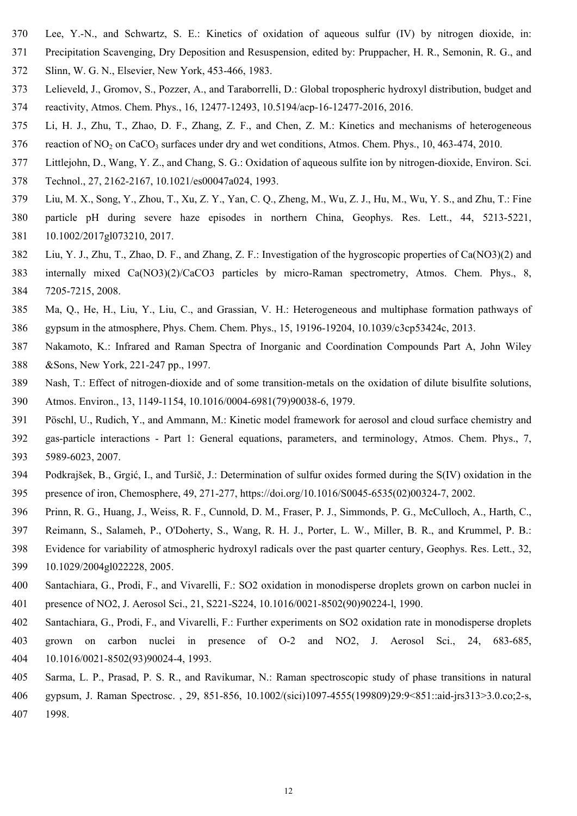- 370 Lee, Y.-N., and Schwartz, S. E.: Kinetics of oxidation of aqueous sulfur (IV) by nitrogen dioxide, in:
- 371 Precipitation Scavenging, Dry Deposition and Resuspension, edited by: Pruppacher, H. R., Semonin, R. G., and
- 372 Slinn, W. G. N., Elsevier, New York, 453-466, 1983.
- 373 Lelieveld, J., Gromov, S., Pozzer, A., and Taraborrelli, D.: Global tropospheric hydroxyl distribution, budget and 374 reactivity, Atmos. Chem. Phys., 16, 12477-12493, 10.5194/acp-16-12477-2016, 2016.
- 375 Li, H. J., Zhu, T., Zhao, D. F., Zhang, Z. F., and Chen, Z. M.: Kinetics and mechanisms of heterogeneous
- 376 reaction of NO<sub>2</sub> on CaCO<sub>3</sub> surfaces under dry and wet conditions, Atmos. Chem. Phys., 10, 463-474, 2010.
- 377 Littlejohn, D., Wang, Y. Z., and Chang, S. G.: Oxidation of aqueous sulfite ion by nitrogen-dioxide, Environ. Sci.
- 378 Technol., 27, 2162-2167, 10.1021/es00047a024, 1993.
- 379 Liu, M. X., Song, Y., Zhou, T., Xu, Z. Y., Yan, C. Q., Zheng, M., Wu, Z. J., Hu, M., Wu, Y. S., and Zhu, T.: Fine
- 380 particle pH during severe haze episodes in northern China, Geophys. Res. Lett., 44, 5213-5221, 381 10.1002/2017gl073210, 2017.
- 382 Liu, Y. J., Zhu, T., Zhao, D. F., and Zhang, Z. F.: Investigation of the hygroscopic properties of Ca(NO3)(2) and
- 383 internally mixed Ca(NO3)(2)/CaCO3 particles by micro-Raman spectrometry, Atmos. Chem. Phys., 8, 384 7205-7215, 2008.
- 385 Ma, Q., He, H., Liu, Y., Liu, C., and Grassian, V. H.: Heterogeneous and multiphase formation pathways of 386 gypsum in the atmosphere, Phys. Chem. Chem. Phys., 15, 19196-19204, 10.1039/c3cp53424c, 2013.
- 387 Nakamoto, K.: Infrared and Raman Spectra of Inorganic and Coordination Compounds Part A, John Wiley 388 &Sons, New York, 221-247 pp., 1997.
- 389 Nash, T.: Effect of nitrogen-dioxide and of some transition-metals on the oxidation of dilute bisulfite solutions,
- 390 Atmos. Environ., 13, 1149-1154, 10.1016/0004-6981(79)90038-6, 1979.
- 391 Pöschl, U., Rudich, Y., and Ammann, M.: Kinetic model framework for aerosol and cloud surface chemistry and
- 392 gas-particle interactions Part 1: General equations, parameters, and terminology, Atmos. Chem. Phys., 7, 393 5989-6023, 2007.
- 394 Podkrajšek, B., Grgić, I., and Turšič, J.: Determination of sulfur oxides formed during the S(IV) oxidation in the 395 presence of iron, Chemosphere, 49, 271-277, https://doi.org/10.1016/S0045-6535(02)00324-7, 2002.
- 396 Prinn, R. G., Huang, J., Weiss, R. F., Cunnold, D. M., Fraser, P. J., Simmonds, P. G., McCulloch, A., Harth, C.,
- 397 Reimann, S., Salameh, P., O'Doherty, S., Wang, R. H. J., Porter, L. W., Miller, B. R., and Krummel, P. B.:
- 398 Evidence for variability of atmospheric hydroxyl radicals over the past quarter century, Geophys. Res. Lett., 32, 399 10.1029/2004gl022228, 2005.
- 400 Santachiara, G., Prodi, F., and Vivarelli, F.: SO2 oxidation in monodisperse droplets grown on carbon nuclei in 401 presence of NO2, J. Aerosol Sci., 21, S221-S224, 10.1016/0021-8502(90)90224-l, 1990.
- 402 Santachiara, G., Prodi, F., and Vivarelli, F.: Further experiments on SO2 oxidation rate in monodisperse droplets 403 grown on carbon nuclei in presence of O-2 and NO2, J. Aerosol Sci., 24, 683-685, 404 10.1016/0021-8502(93)90024-4, 1993.
- 405 Sarma, L. P., Prasad, P. S. R., and Ravikumar, N.: Raman spectroscopic study of phase transitions in natural 406 gypsum, J. Raman Spectrosc. , 29, 851-856, 10.1002/(sici)1097-4555(199809)29:9<851::aid-jrs313>3.0.co;2-s, 407 1998.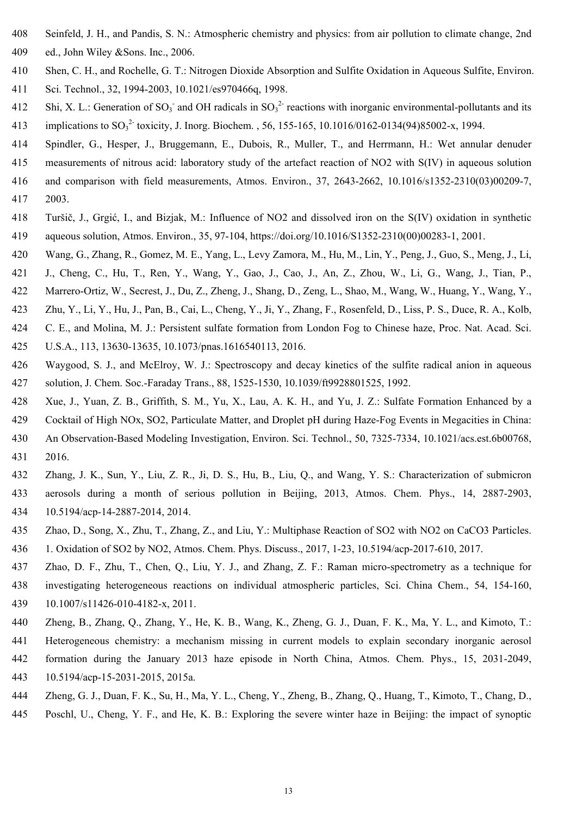- 408 Seinfeld, J. H., and Pandis, S. N.: Atmospheric chemistry and physics: from air pollution to climate change, 2nd 409 ed., John Wiley &Sons. Inc., 2006.
- 410 Shen, C. H., and Rochelle, G. T.: Nitrogen Dioxide Absorption and Sulfite Oxidation in Aqueous Sulfite, Environ. 411 Sci. Technol., 32, 1994-2003, 10.1021/es970466q, 1998.
- 412 Shi, X. L.: Generation of SO<sub>3</sub><sup>-</sup> and OH radicals in SO<sub>3</sub><sup>2-</sup> reactions with inorganic environmental-pollutants and its 413 implications to  $SO_3^2$  toxicity, J. Inorg. Biochem. , 56, 155-165, 10.1016/0162-0134(94)85002-x, 1994.
- 414 Spindler, G., Hesper, J., Bruggemann, E., Dubois, R., Muller, T., and Herrmann, H.: Wet annular denuder
- 415 measurements of nitrous acid: laboratory study of the artefact reaction of NO2 with S(IV) in aqueous solution
- 416 and comparison with field measurements, Atmos. Environ., 37, 2643-2662, 10.1016/s1352-2310(03)00209-7, 417 2003.
- 418 Turšič, J., Grgić, I., and Bizjak, M.: Influence of NO2 and dissolved iron on the S(IV) oxidation in synthetic 419 aqueous solution, Atmos. Environ., 35, 97-104, https://doi.org/10.1016/S1352-2310(00)00283-1, 2001.
- 420 Wang, G., Zhang, R., Gomez, M. E., Yang, L., Levy Zamora, M., Hu, M., Lin, Y., Peng, J., Guo, S., Meng, J., Li,
- 421 J., Cheng, C., Hu, T., Ren, Y., Wang, Y., Gao, J., Cao, J., An, Z., Zhou, W., Li, G., Wang, J., Tian, P.,
- 422 Marrero-Ortiz, W., Secrest, J., Du, Z., Zheng, J., Shang, D., Zeng, L., Shao, M., Wang, W., Huang, Y., Wang, Y.,
- 423 Zhu, Y., Li, Y., Hu, J., Pan, B., Cai, L., Cheng, Y., Ji, Y., Zhang, F., Rosenfeld, D., Liss, P. S., Duce, R. A., Kolb,
- 424 C. E., and Molina, M. J.: Persistent sulfate formation from London Fog to Chinese haze, Proc. Nat. Acad. Sci.
- 425 U.S.A., 113, 13630-13635, 10.1073/pnas.1616540113, 2016.
- 426 Waygood, S. J., and McElroy, W. J.: Spectroscopy and decay kinetics of the sulfite radical anion in aqueous 427 solution, J. Chem. Soc.-Faraday Trans., 88, 1525-1530, 10.1039/ft9928801525, 1992.
- 428 Xue, J., Yuan, Z. B., Griffith, S. M., Yu, X., Lau, A. K. H., and Yu, J. Z.: Sulfate Formation Enhanced by a
- 429 Cocktail of High NOx, SO2, Particulate Matter, and Droplet pH during Haze-Fog Events in Megacities in China:
- 430 An Observation-Based Modeling Investigation, Environ. Sci. Technol., 50, 7325-7334, 10.1021/acs.est.6b00768, 431 2016.
- 432 Zhang, J. K., Sun, Y., Liu, Z. R., Ji, D. S., Hu, B., Liu, Q., and Wang, Y. S.: Characterization of submicron 433 aerosols during a month of serious pollution in Beijing, 2013, Atmos. Chem. Phys., 14, 2887-2903, 434 10.5194/acp-14-2887-2014, 2014.
- 435 Zhao, D., Song, X., Zhu, T., Zhang, Z., and Liu, Y.: Multiphase Reaction of SO2 with NO2 on CaCO3 Particles.
- 436 1. Oxidation of SO2 by NO2, Atmos. Chem. Phys. Discuss., 2017, 1-23, 10.5194/acp-2017-610, 2017.
- 437 Zhao, D. F., Zhu, T., Chen, Q., Liu, Y. J., and Zhang, Z. F.: Raman micro-spectrometry as a technique for 438 investigating heterogeneous reactions on individual atmospheric particles, Sci. China Chem., 54, 154-160, 439 10.1007/s11426-010-4182-x, 2011.
- 440 Zheng, B., Zhang, Q., Zhang, Y., He, K. B., Wang, K., Zheng, G. J., Duan, F. K., Ma, Y. L., and Kimoto, T.:
- 441 Heterogeneous chemistry: a mechanism missing in current models to explain secondary inorganic aerosol
- 442 formation during the January 2013 haze episode in North China, Atmos. Chem. Phys., 15, 2031-2049,
- 443 10.5194/acp-15-2031-2015, 2015a.
- 444 Zheng, G. J., Duan, F. K., Su, H., Ma, Y. L., Cheng, Y., Zheng, B., Zhang, Q., Huang, T., Kimoto, T., Chang, D.,
- 445 Poschl, U., Cheng, Y. F., and He, K. B.: Exploring the severe winter haze in Beijing: the impact of synoptic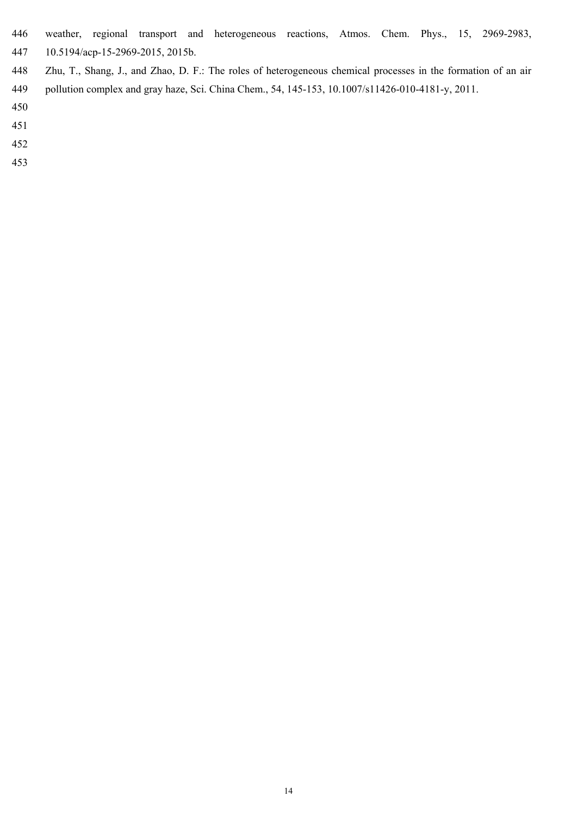- 446 weather, regional transport and heterogeneous reactions, Atmos. Chem. Phys., 15, 2969-2983,
- 447 10.5194/acp-15-2969-2015, 2015b.
- 448 Zhu, T., Shang, J., and Zhao, D. F.: The roles of heterogeneous chemical processes in the formation of an air 449 pollution complex and gray haze, Sci. China Chem., 54, 145-153, 10.1007/s11426-010-4181-y, 2011.
- 450
- 451
- 452
- 
- 453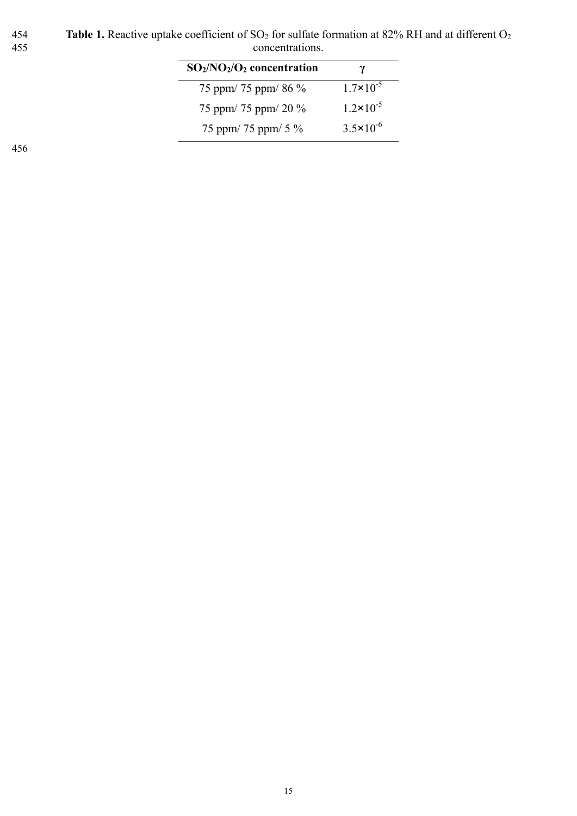454 **Table 1.** Reactive uptake coefficient of  $SO_2$  for sulfate formation at 82% RH and at different  $O_2$ 455 concentrations.

| $SO_2/NO_2/O_2$ concentration | γ                    |
|-------------------------------|----------------------|
| 75 ppm/ 75 ppm/ 86 %          | $1.7 \times 10^{-5}$ |
| 75 ppm/ 75 ppm/ 20 $\%$       | $1.2 \times 10^{-5}$ |
| 75 ppm/ 75 ppm/ 5 %           | $3.5 \times 10^{-6}$ |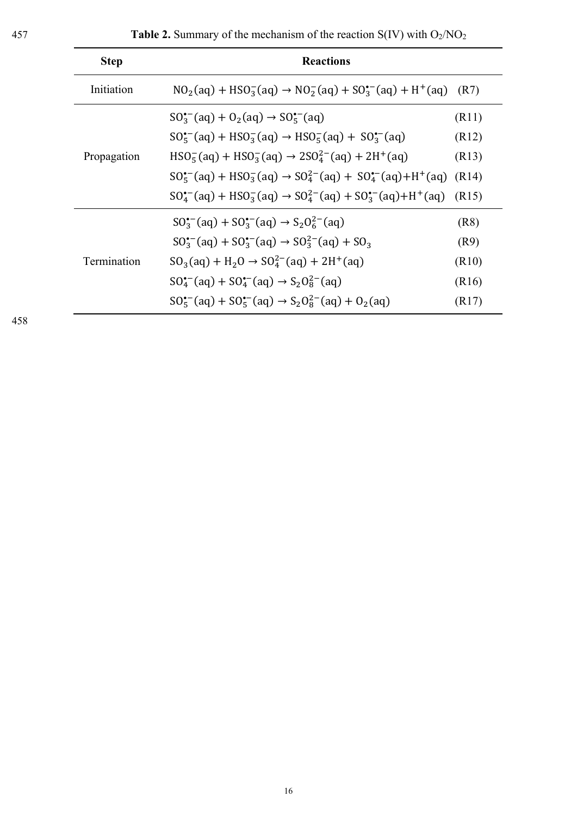| <b>Step</b> | <b>Reactions</b>                                                                                    |       |
|-------------|-----------------------------------------------------------------------------------------------------|-------|
| Initiation  | $NO2(aq) + HSO3-(aq) \rightarrow NO2-(aq) + SO3-(aq) + H+(aq)$                                      | (R7)  |
| Propagation | $SO_3^{\bullet-}(aq) + O_2(aq) \rightarrow SO_5^{\bullet-}(aq)$                                     | (R11) |
|             | $SO_5^{\bullet-}(aq) + HSO_3^-(aq) \rightarrow HSO_5^-(aq) + SO_3^{\bullet-}(aq)$                   | (R12) |
|             | $HSO5-(aq) + HSO3-(aq) \rightarrow 2SO42-(aq) + 2H+(aq)$                                            | (R13) |
|             | $SO_5^{\bullet-}(aq) + HSO_3^-(aq) \rightarrow SO_4^{2-}(aq) + SO_4^{\bullet-}(aq) + H^+(aq)$ (R14) |       |
|             | $SO_4^{\bullet-}(aq) + HSO_3^-(aq) \rightarrow SO_4^{2-}(aq) + SO_3^{\bullet-}(aq) + H^+(aq)$       | (R15) |
| Termination | $SO_3^{(-)}(aq) + SO_3^{(-)}(aq) \rightarrow S_2O_6^{2-}(aq)$                                       | (R8)  |
|             | $SO_3^{\bullet-}(aq) + SO_3^{\bullet-}(aq) \rightarrow SO_3^{2-}(aq) + SO_3$                        | (R9)  |
|             | $SO_3(aq) + H_2O \rightarrow SO_4^{2-}(aq) + 2H^+(aq)$                                              | (R10) |
|             | $SO_4^{\bullet-}(aq) + SO_4^{\bullet-}(aq) \rightarrow S_2O_8^{2-}(aq)$                             | (R16) |
|             | $SO_5^{(-)}(aq) + SO_5^{(-)}(aq) \rightarrow S_2O_8^{2-}(aq) + O_2(aq)$                             | (R17) |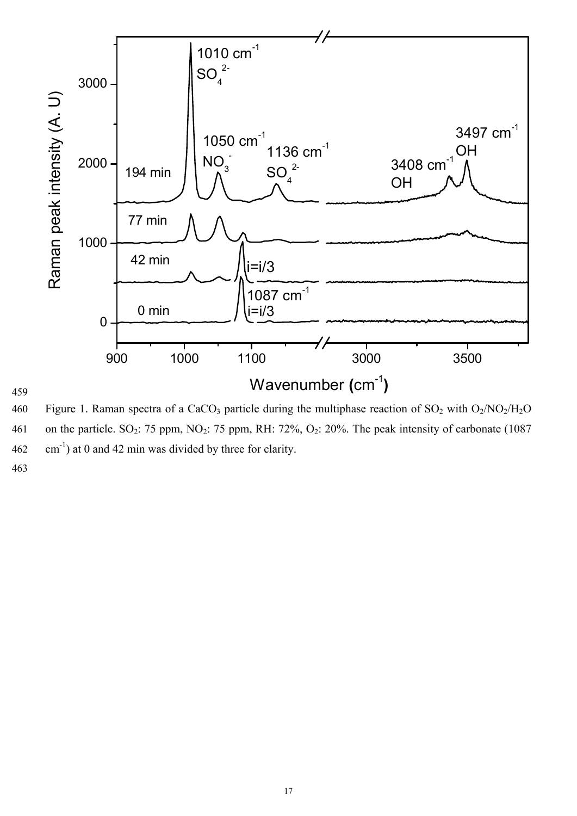

460 Figure 1. Raman spectra of a CaCO<sub>3</sub> particle during the multiphase reaction of  $SO_2$  with  $O_2/NO_2/H_2O$ 461 on the particle. SO<sub>2</sub>: 75 ppm, NO<sub>2</sub>: 75 ppm, RH: 72%, O<sub>2</sub>: 20%. The peak intensity of carbonate (1087) 462  $\text{cm}^{-1}$ ) at 0 and 42 min was divided by three for clarity.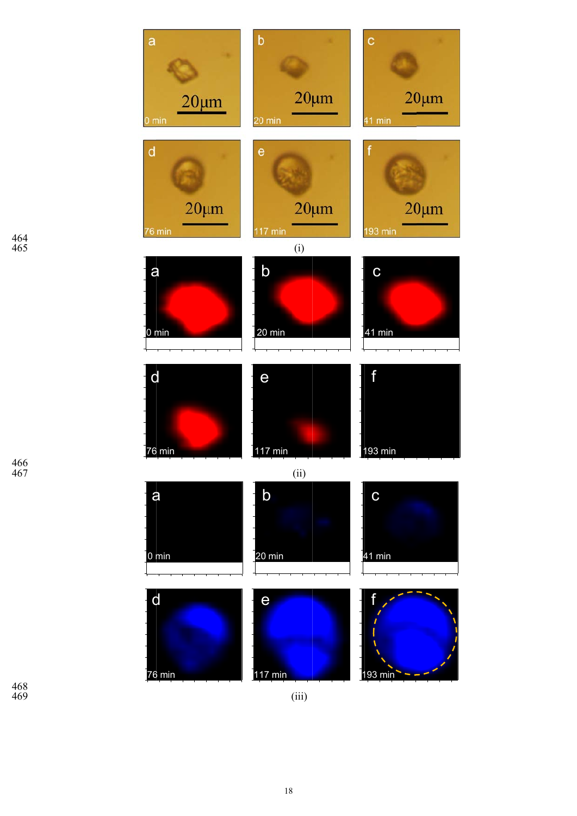

466 467

468 469

(iii)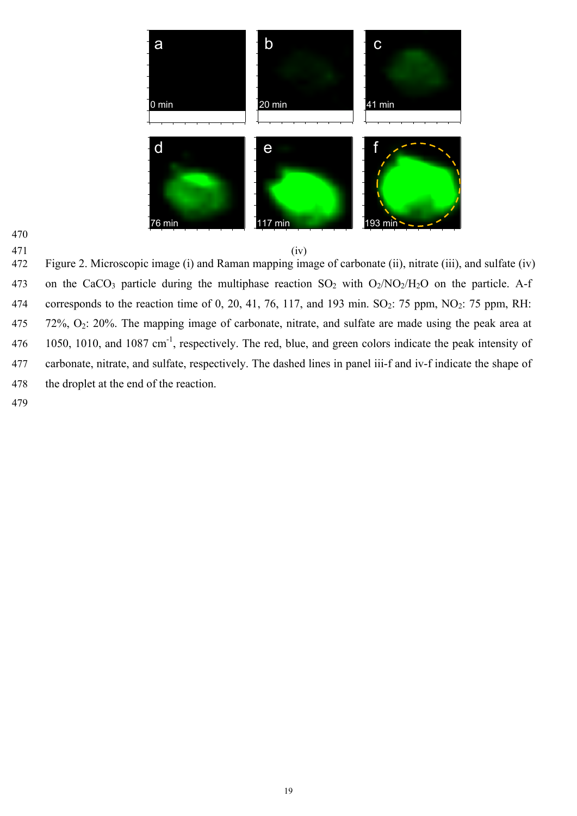



472 Figure 2. Microscopic image (i) and Raman mapping image of carbonate (ii), nitrate (iii), and sulfate (iv) 473 on the CaCO<sub>3</sub> particle during the multiphase reaction  $SO_2$  with  $O_2/NO_2/H_2O$  on the particle. A-f 474 corresponds to the reaction time of 0, 20, 41, 76, 117, and 193 min.  $SO_2$ : 75 ppm, NO<sub>2</sub>: 75 ppm, RH: 475  $\,$  72%, O<sub>2</sub>: 20%. The mapping image of carbonate, nitrate, and sulfate are made using the peak area at 1050, 1010, and 1087 cm<sup>-1</sup>, respectively. The red, blue, and green colors indicate the peak intensity of 477 carbonate, nitrate, and sulfate, respectively. The dashed lines in panel iii-f and iv-f indicate the shape of 478 the droplet at the end of the reaction.